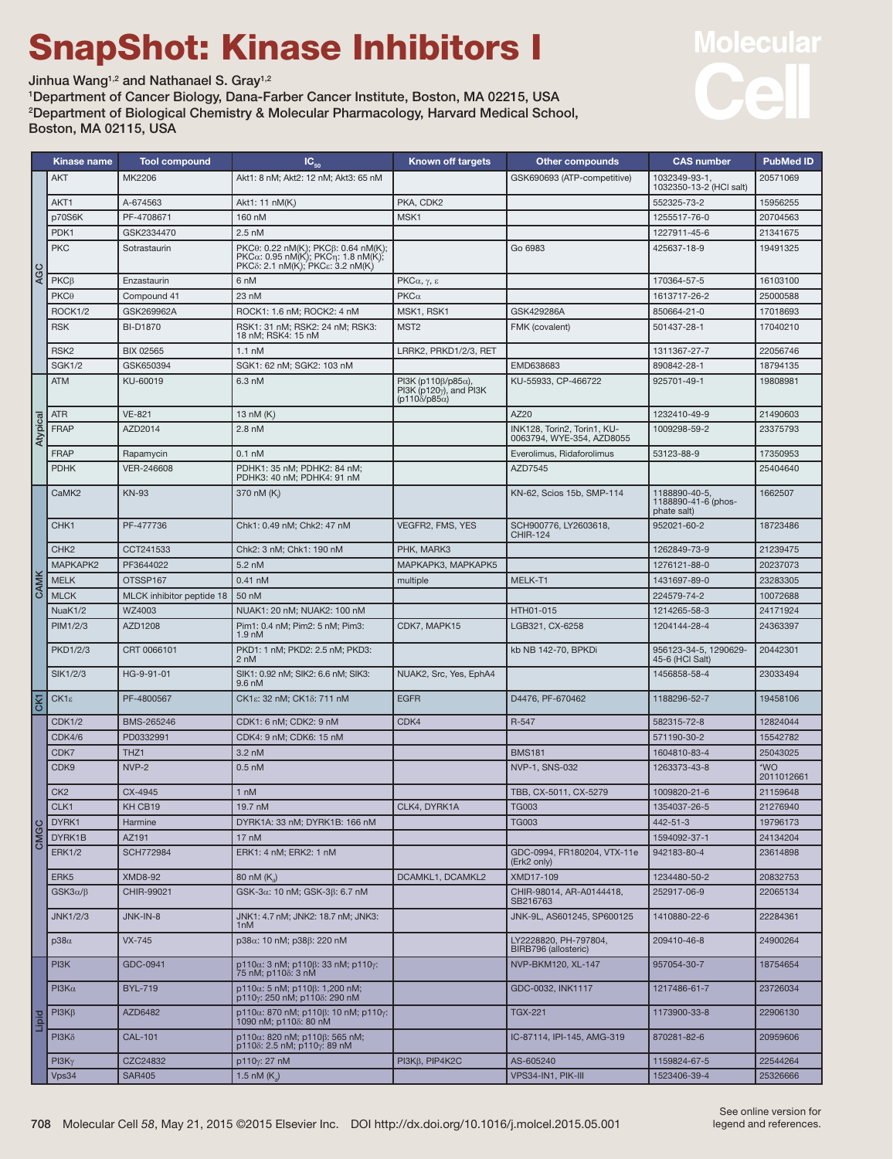## SnapShot: Kinase Inhibitors I

Jinhua Wang<sup>1,2</sup> and Nathanael S. Gray<sup>1,2</sup>

1 Department of Cancer Biology, Dana-Farber Cancer Institute, Boston, MA 02215, USA 2 Department of Biological Chemistry & Molecular Pharmacology, Harvard Medical School, Boston, MA 02115, USA



|              | Kinase name        | <b>Tool compound</b>      | $IC_{50}$                                                                                                     | <b>Known off targets</b>                                                                               | <b>Other compounds</b>                                   | <b>CAS number</b>                                   | <b>PubMed ID</b>  |
|--------------|--------------------|---------------------------|---------------------------------------------------------------------------------------------------------------|--------------------------------------------------------------------------------------------------------|----------------------------------------------------------|-----------------------------------------------------|-------------------|
| <b>AGC</b>   | <b>AKT</b>         | MK2206                    | Akt1: 8 nM; Akt2: 12 nM; Akt3: 65 nM                                                                          |                                                                                                        | GSK690693 (ATP-competitive)                              | 1032349-93-1,<br>1032350-13-2 (HCl salt)            | 20571069          |
|              | AKT1               | A-674563                  | Akt1: 11 nM(K)                                                                                                | PKA, CDK2                                                                                              |                                                          | 552325-73-2                                         | 15956255          |
|              | p70S6K             | PF-4708671                | 160 nM                                                                                                        | MSK1                                                                                                   |                                                          | 1255517-76-0                                        | 20704563          |
|              | PDK1               | GSK2334470                | $2.5 \text{ nM}$                                                                                              |                                                                                                        |                                                          | 1227911-45-6                                        | 21341675          |
|              | <b>PKC</b>         | Sotrastaurin              | PKC0: 0.22 nM(K); PKCß: 0.64 nM(K);<br>PKCa: 0.95 nM(K); PKCn: 1.8 nM(K);<br>PKCδ: 2.1 nM(K); PKCs: 3.2 nM(K) |                                                                                                        | Go 6983                                                  | 425637-18-9                                         | 19491325          |
|              | $PKC\beta$         | Enzastaurin               | 6 nM                                                                                                          | PKCα, γ, ε                                                                                             |                                                          | 170364-57-5                                         | 16103100          |
|              | PKC <sub>0</sub>   | Compound 41               | 23 nM                                                                                                         | $PKC\alpha$                                                                                            |                                                          | 1613717-26-2                                        | 25000588          |
|              | ROCK1/2            | GSK269962A                | ROCK1: 1.6 nM; ROCK2: 4 nM                                                                                    | MSK1, RSK1                                                                                             | GSK429286A                                               | 850664-21-0                                         | 17018693          |
|              | <b>RSK</b>         | <b>BI-D1870</b>           | RSK1: 31 nM; RSK2: 24 nM; RSK3:<br>18 nM: RSK4: 15 nM                                                         | MST <sub>2</sub>                                                                                       | FMK (covalent)                                           | 501437-28-1                                         | 17040210          |
|              | RSK <sub>2</sub>   | <b>BIX 02565</b>          | $1.1 \text{ nM}$                                                                                              | LRRK2, PRKD1/2/3, RET                                                                                  |                                                          | 1311367-27-7                                        | 22056746          |
|              | SGK1/2             | GSK650394                 | SGK1: 62 nM; SGK2: 103 nM                                                                                     |                                                                                                        | EMD638683                                                | 890842-28-1                                         | 18794135          |
| Atypica      | <b>ATM</b>         | KU-60019                  | 6.3 nM                                                                                                        | PI3K (p110 $\beta$ /p85 $\alpha$ ),<br>$PI3K$ ( $p120\gamma$ ), and $PI3K$<br>$(p110\delta/p85\alpha)$ | KU-55933, CP-466722                                      | 925701-49-1                                         | 19808981          |
|              | <b>ATR</b>         | <b>VE-821</b>             | 13 nM (K)                                                                                                     |                                                                                                        | AZ20                                                     | 1232410-49-9                                        | 21490603          |
|              | <b>FRAP</b>        | AZD2014                   | $2.8 \text{ nM}$                                                                                              |                                                                                                        | INK128, Torin2, Torin1, KU-<br>0063794, WYE-354, AZD8055 | 1009298-59-2                                        | 23375793          |
|              | <b>FRAP</b>        | Rapamycin                 | $0.1$ nM                                                                                                      |                                                                                                        | Everolimus, Ridaforolimus                                | 53123-88-9                                          | 17350953          |
|              | <b>PDHK</b>        | VER-246608                | PDHK1: 35 nM; PDHK2: 84 nM;<br>PDHK3: 40 nM; PDHK4: 91 nM                                                     |                                                                                                        | AZD7545                                                  |                                                     | 25404640          |
| CAMK         | CaMK <sub>2</sub>  | <b>KN-93</b>              | 370 nM (K)                                                                                                    |                                                                                                        | KN-62, Scios 15b, SMP-114                                | 1188890-40-5,<br>1188890-41-6 (phos-<br>phate salt) | 1662507           |
|              | CHK <sub>1</sub>   | PF-477736                 | Chk1: 0.49 nM; Chk2: 47 nM                                                                                    | <b>VEGFR2, FMS, YES</b>                                                                                | SCH900776, LY2603618,<br><b>CHIR-124</b>                 | 952021-60-2                                         | 18723486          |
|              | CHK <sub>2</sub>   | CCT241533                 | Chk2: 3 nM; Chk1: 190 nM                                                                                      | PHK, MARK3                                                                                             |                                                          | 1262849-73-9                                        | 21239475          |
|              | MAPKAPK2           | PF3644022                 | 5.2 nM                                                                                                        | МАРКАРКЗ, МАРКАРК5                                                                                     |                                                          | 1276121-88-0                                        | 20237073          |
|              | <b>MELK</b>        | OTSSP167                  | $0.41$ nM                                                                                                     | multiple                                                                                               | MELK-T1                                                  | 1431697-89-0                                        | 23283305          |
|              | <b>MLCK</b>        | MLCK inhibitor peptide 18 | 50 nM                                                                                                         |                                                                                                        |                                                          | 224579-74-2                                         | 10072688          |
|              | NuaK1/2            | WZ4003                    | NUAK1: 20 nM; NUAK2: 100 nM                                                                                   |                                                                                                        | HTH01-015                                                | 1214265-58-3                                        | 24171924          |
|              | PIM1/2/3           | AZD1208                   | Pim1: 0.4 nM; Pim2: 5 nM; Pim3:<br>1.9 <sub>nM</sub>                                                          | CDK7, MAPK15                                                                                           | LGB321, CX-6258                                          | 1204144-28-4                                        | 24363397          |
|              | PKD1/2/3           | CRT 0066101               | PKD1: 1 nM; PKD2: 2.5 nM; PKD3:<br>2 nM                                                                       |                                                                                                        | kb NB 142-70, BPKDi                                      | 956123-34-5, 1290629-<br>45-6 (HCI Salt)            | 20442301          |
|              | SIK1/2/3           | HG-9-91-01                | SIK1: 0.92 nM; SIK2: 6.6 nM; SIK3:<br>9.6 nM                                                                  | NUAK2, Src, Yes, EphA4                                                                                 |                                                          | 1456858-58-4                                        | 23033494          |
|              | $CK1\epsilon$      | PF-4800567                | CK1ε: 32 nM; CK1δ: 711 nM                                                                                     | <b>EGFR</b>                                                                                            | D4476, PF-670462                                         | 1188296-52-7                                        | 19458106          |
| CMGC         | <b>CDK1/2</b>      | BMS-265246                | CDK1: 6 nM; CDK2: 9 nM                                                                                        | CDK4                                                                                                   | R-547                                                    | 582315-72-8                                         | 12824044          |
|              | CDK4/6             | PD0332991                 | CDK4: 9 nM; CDK6: 15 nM                                                                                       |                                                                                                        |                                                          | 571190-30-2                                         | 15542782          |
|              | CDK7               | THZ <sub>1</sub>          | 3.2 nM                                                                                                        |                                                                                                        | <b>BMS181</b>                                            | 1604810-83-4                                        | 25043025          |
|              | CDK <sub>9</sub>   | NVP-2                     | $0.5$ nM                                                                                                      |                                                                                                        | NVP-1, SNS-032                                           | 1263373-43-8                                        | *WO<br>2011012661 |
|              | CK <sub>2</sub>    | CX-4945                   | $1 \text{ nM}$                                                                                                |                                                                                                        | TBB, CX-5011, CX-5279                                    | 1009820-21-6                                        | 21159648          |
|              | CLK1               | KH CB19                   | 19.7 nM                                                                                                       | CLK4, DYRK1A                                                                                           | <b>TG003</b>                                             | 1354037-26-5                                        | 21276940          |
|              | DYRK1              | Harmine                   | DYRK1A: 33 nM; DYRK1B: 166 nM                                                                                 |                                                                                                        | <b>TG003</b>                                             | 442-51-3                                            | 19796173          |
|              | DYRK1B             | AZ191                     | $17 \text{ nM}$                                                                                               |                                                                                                        |                                                          | 1594092-37-1                                        | 24134204          |
|              | <b>ERK1/2</b>      | <b>SCH772984</b>          | ERK1: 4 nM; ERK2: 1 nM                                                                                        |                                                                                                        | GDC-0994, FR180204, VTX-11e<br>(Erk2 only)               | 942183-80-4                                         | 23614898          |
|              | ERK <sub>5</sub>   | <b>XMD8-92</b>            | 80 nM $(K_a)$                                                                                                 | DCAMKL1, DCAMKL2                                                                                       | XMD17-109                                                | 1234480-50-2                                        | 20832753          |
|              | $GSK3\alpha/\beta$ | CHIR-99021                | GSK-3α: 10 nM; GSK-3β: 6.7 nM                                                                                 |                                                                                                        | CHIR-98014, AR-A0144418,<br>SB216763                     | 252917-06-9                                         | 22065134          |
|              | JNK1/2/3           | JNK-IN-8                  | JNK1: 4.7 nM; JNK2: 18.7 nM; JNK3:<br>1 <sub>n</sub> M                                                        |                                                                                                        | JNK-9L, AS601245, SP600125                               | 1410880-22-6                                        | 22284361          |
|              | $p38\alpha$        | <b>VX-745</b>             | p38α: 10 nM; p38β: 220 nM                                                                                     |                                                                                                        | LY2228820, PH-797804,<br>BIRB796 (allosteric)            | 209410-46-8                                         | 24900264          |
| <b>Dipid</b> | PI3K               | GDC-0941                  | p110α: 3 nM; p110β: 33 nM; p110γ:<br>75 nM; p1108: 3 nM                                                       |                                                                                                        | NVP-BKM120, XL-147                                       | 957054-30-7                                         | 18754654          |
|              | $PI3K\alpha$       | <b>BYL-719</b>            | p110α: 5 nM; p110β: 1,200 nM;<br>p110y: 250 nM; p1108: 290 nM                                                 |                                                                                                        | GDC-0032, INK1117                                        | 1217486-61-7                                        | 23726034          |
|              | $PI3K\beta$        | AZD6482                   | p110α: 870 nM; p110β: 10 nM; p110γ:<br>1090 nM; p1108: 80 nM                                                  |                                                                                                        | <b>TGX-221</b>                                           | 1173900-33-8                                        | 22906130          |
|              | $PI3K\delta$       | <b>CAL-101</b>            | $p110\alpha$ : 820 nM; $p110\beta$ : 565 nM;<br>p1108: 2.5 nM; p110y: 89 nM                                   |                                                                                                        | IC-87114, IPI-145, AMG-319                               | 870281-82-6                                         | 20959606          |
|              | $PI3K\gamma$       | CZC24832                  | p110y: 27 nM                                                                                                  | PI3K <sub>B</sub> , PIP4K <sub>2</sub> C                                                               | AS-605240                                                | 1159824-67-5                                        | 22544264          |
|              | Vps34              | <b>SAR405</b>             | 1.5 nM $(K_a)$                                                                                                |                                                                                                        | VPS34-IN1, PIK-III                                       | 1523406-39-4                                        | 25326666          |